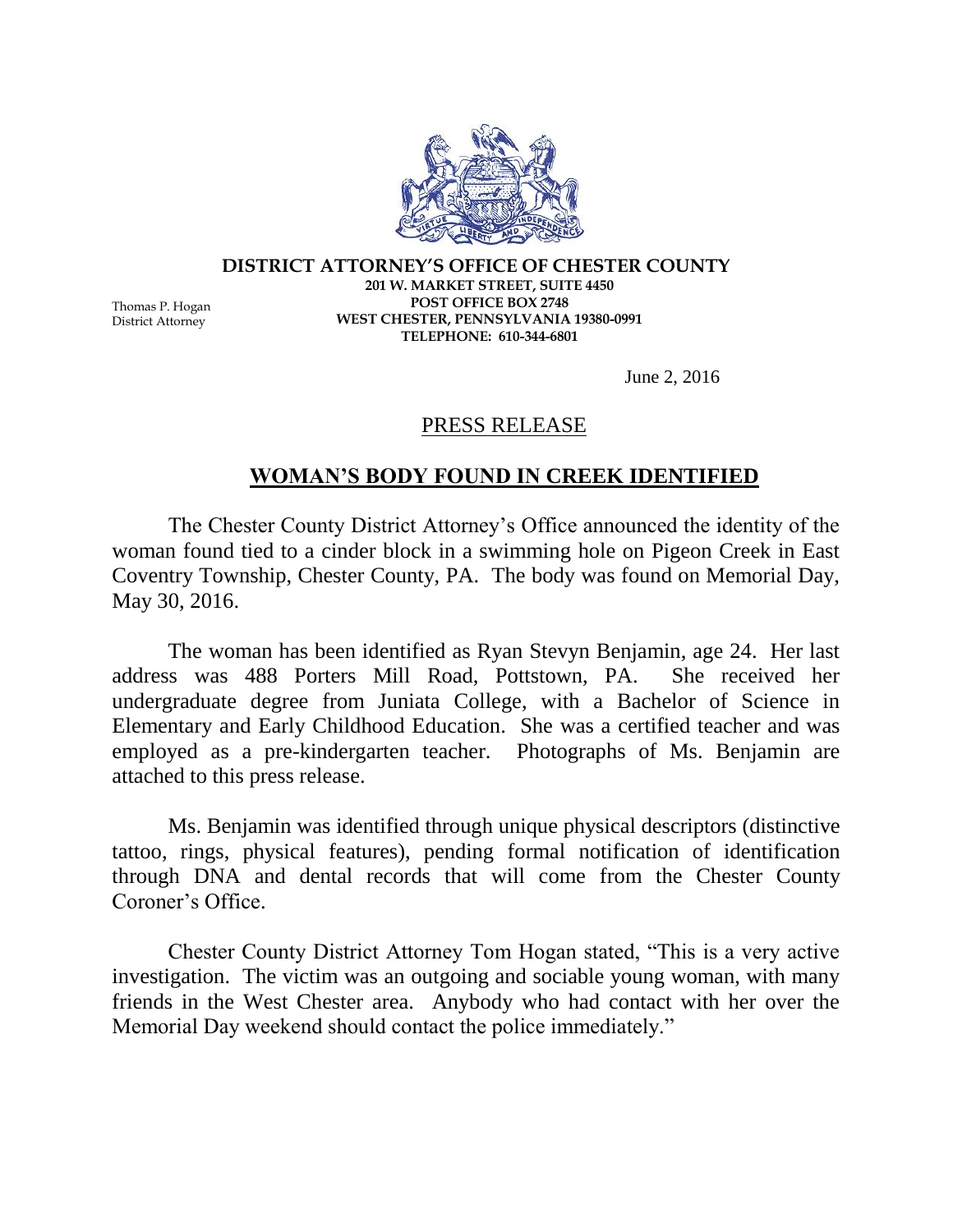

## **DISTRICT ATTORNEY'S OFFICE OF CHESTER COUNTY 201 W. MARKET STREET, SUITE 4450 POST OFFICE BOX 2748 WEST CHESTER, PENNSYLVANIA 19380-0991 TELEPHONE: 610-344-6801**

June 2, 2016

## PRESS RELEASE

## **WOMAN'S BODY FOUND IN CREEK IDENTIFIED**

The Chester County District Attorney's Office announced the identity of the woman found tied to a cinder block in a swimming hole on Pigeon Creek in East Coventry Township, Chester County, PA. The body was found on Memorial Day, May 30, 2016.

The woman has been identified as Ryan Stevyn Benjamin, age 24. Her last address was 488 Porters Mill Road, Pottstown, PA. She received her undergraduate degree from Juniata College, with a Bachelor of Science in Elementary and Early Childhood Education. She was a certified teacher and was employed as a pre-kindergarten teacher. Photographs of Ms. Benjamin are attached to this press release.

Ms. Benjamin was identified through unique physical descriptors (distinctive tattoo, rings, physical features), pending formal notification of identification through DNA and dental records that will come from the Chester County Coroner's Office.

Chester County District Attorney Tom Hogan stated, "This is a very active investigation. The victim was an outgoing and sociable young woman, with many friends in the West Chester area. Anybody who had contact with her over the Memorial Day weekend should contact the police immediately."

Thomas P. Hogan District Attorney